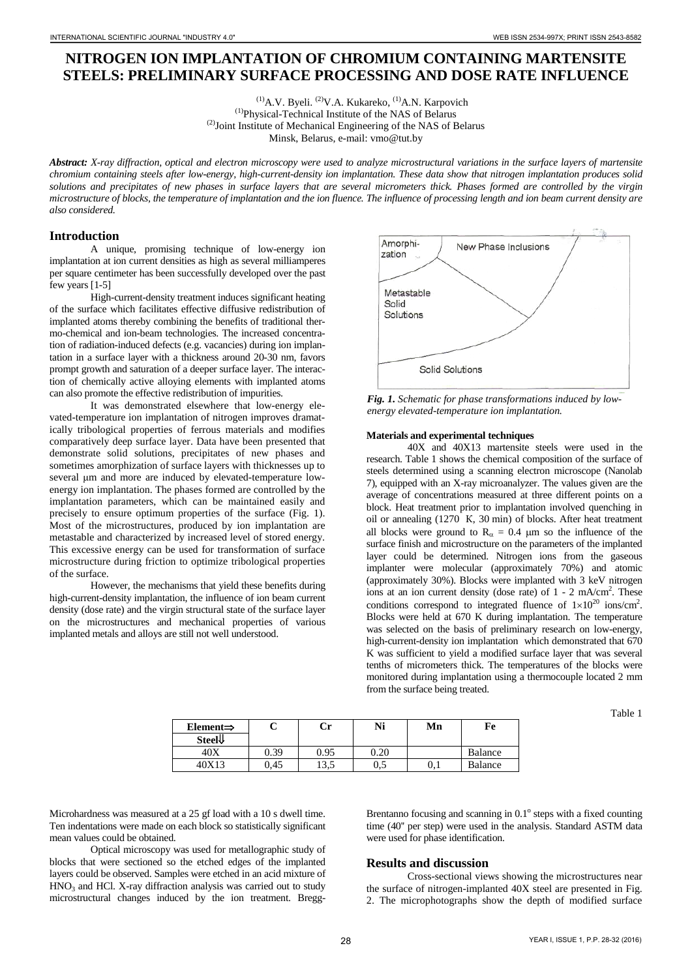# **NITROGEN ION IMPLANTATION OF CHROMIUM CONTAINING MARTENSITE STEELS: PRELIMINARY SURFACE PROCESSING AND DOSE RATE INFLUENCE**

 $(1)$ A.V. Byeli.  $(2)$ V.A. Kukareko,  $(1)$ A.N. Karpovich (1)Physical-Technical Institute of the NAS of Belarus  $^{(2)}$ Joint Institute of Mechanical Engineering of the NAS of Belarus Minsk, Belarus, e-mail: vmo@tut.by

*Abstract: X-ray diffraction, optical and electron microscopy were used to analyze microstructural variations in the surface layers of martensite chromium containing steels after low-energy, high-current-density ion implantation. These data show that nitrogen implantation produces solid solutions and precipitates of new phases in surface layers that are several micrometers thick. Phases formed are controlled by the virgin microstructure of blocks, the temperature of implantation and the ion fluence. The influence of processing length and ion beam current density are also considered.*

## **Introduction**

A unique, promising technique of low-energy ion implantation at ion current densities as high as several milliamperes per square centimeter has been successfully developed over the past few years [1-5]

High-current-density treatment induces significant heating of the surface which facilitates effective diffusive redistribution of implanted atoms thereby combining the benefits of traditional thermo-chemical and ion-beam technologies. The increased concentration of radiation-induced defects (e.g. vacancies) during ion implantation in a surface layer with a thickness around 20-30 nm, favors prompt growth and saturation of a deeper surface layer. The interaction of chemically active alloying elements with implanted atoms can also promote the effective redistribution of impurities.

It was demonstrated elsewhere that low-energy elevated-temperature ion implantation of nitrogen improves dramatically tribological properties of ferrous materials and modifies comparatively deep surface layer. Data have been presented that demonstrate solid solutions, precipitates of new phases and sometimes amorphization of surface layers with thicknesses up to several μm and more are induced by elevated-temperature lowenergy ion implantation. The phases formed are controlled by the implantation parameters, which can be maintained easily and precisely to ensure optimum properties of the surface (Fig. 1). Most of the microstructures, produced by ion implantation are metastable and characterized by increased level of stored energy. This excessive energy can be used for transformation of surface microstructure during friction to optimize tribological properties of the surface.

However, the mechanisms that yield these benefits during high-current-density implantation, the influence of ion beam current density (dose rate) and the virgin structural state of the surface layer on the microstructures and mechanical properties of various implanted metals and alloys are still not well understood.



*Fig. 1. Schematic for phase transformations induced by lowenergy elevated-temperature ion implantation.*

#### **Materials and experimental techniques**

40X and 40X13 martensite steels were used in the research. Table 1 shows the chemical composition of the surface of steels determined using a scanning electron microscope (Nanolab 7), equipped with an X-ray microanalyzer. The values given are the average of concentrations measured at three different points on a block. Heat treatment prior to implantation involved quenching in oil or annealing (1270 К, 30 min) of blocks. After heat treatment all blocks were ground to  $R_a = 0.4 \mu m$  so the influence of the surface finish and microstructure on the parameters of the implanted layer could be determined. Nitrogen ions from the gaseous implanter were molecular (approximately 70%) and atomic (approximately 30%). Blocks were implanted with 3 keV nitrogen ions at an ion current density (dose rate) of  $1 - 2$  mA/cm<sup>2</sup>. These conditions correspond to integrated fluence of  $1 \times 10^{20}$  ions/cm<sup>2</sup>. Blocks were held at 670 K during implantation. The temperature was selected on the basis of preliminary research on low-energy, high-current-density ion implantation which demonstrated that 670 K was sufficient to yield a modified surface layer that was several tenths of micrometers thick. The temperatures of the blocks were monitored during implantation using a thermocouple located 2 mm from the surface being treated.

Table 1

| Element $\Rightarrow$ | ັ    | Ċr           | Ni   | Mn  | Fe             |
|-----------------------|------|--------------|------|-----|----------------|
| Steel↓                |      |              |      |     |                |
| 40X                   | 0.39 | 0.95         | 0.20 |     | Balance        |
| 40X13                 | 0.45 | ى ج<br>ر د د | 0.5  | 0,1 | <b>Balance</b> |

Microhardness was measured at a 25 gf load with a 10 s dwell time. Ten indentations were made on each block so statistically significant mean values could be obtained.

Optical microscopy was used for metallographic study of blocks that were sectioned so the etched edges of the implanted layers could be observed. Samples were etched in an acid mixture of  $HNO<sub>3</sub>$  and HCl. X-ray diffraction analysis was carried out to study microstructural changes induced by the ion treatment. BreggBrentanno focusing and scanning in  $0.1^\circ$  steps with a fixed counting time (40'' per step) were used in the analysis. Standard ASTM data were used for phase identification.

#### **Results and discussion**

Cross-sectional views showing the microstructures near the surface of nitrogen-implanted 40X steel are presented in Fig. 2. The microphotographs show the depth of modified surface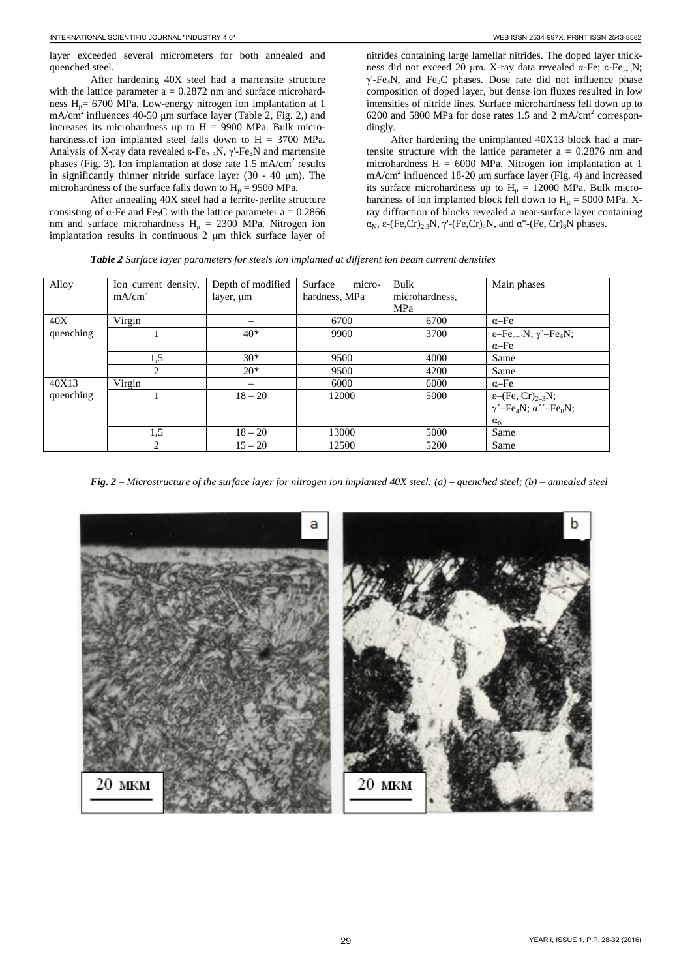After hardening 40X steel had a martensite structure with the lattice parameter  $a = 0.2872$  nm and surface microhardness  $H<sub>u</sub> = 6700$  MPa. Low-energy nitrogen ion implantation at 1 mA/cm2 influences 40-50 μm surface layer (Table 2, Fig. 2,) and increases its microhardness up to  $H = 9900$  MPa. Bulk microhardness.of ion implanted steel falls down to H = 3700 MPa. Analysis of X-ray data revealed ε-Fe<sub>2 3</sub>N,  $\gamma$ '-Fe<sub>4</sub>N and martensite phases (Fig. 3). Ion implantation at dose rate 1.5 mA/cm<sup>2</sup> results in significantly thinner nitride surface layer (30 - 40 μm). The microhardness of the surface falls down to  $H<sub>u</sub> = 9500$  MPa.

After annealing 40X steel had a ferrite-perlite structure consisting of  $\alpha$ -Fe and Fe<sub>3</sub>C with the lattice parameter a = 0.2866 nm and surface microhardness  $H<sub>u</sub> = 2300$  MPa. Nitrogen ion implantation results in continuous 2 μm thick surface layer of

nitrides containing large lamellar nitrides. The doped layer thickness did not exceed 20 μm. X-ray data revealed α-Fe; ε-Fe<sub>2-3</sub>N;  $\gamma$ '-Fe<sub>4</sub>N, and Fe<sub>3</sub>C phases. Dose rate did not influence phase composition of doped layer, but dense ion fluxes resulted in low intensities of nitride lines. Surface microhardness fell down up to 6200 and 5800 MPa for dose rates 1.5 and 2 mA/cm2 correspondingly.

After hardening the unimplanted 40X13 block had a martensite structure with the lattice parameter  $a = 0.2876$  nm and microhardness  $H = 6000$  MPa. Nitrogen ion implantation at 1  $mA/cm<sup>2</sup>$  influenced 18-20  $\mu$ m surface layer (Fig. 4) and increased its surface microhardness up to  $H<sub>u</sub> = 12000$  MPa. Bulk microhardness of ion implanted block fell down to  $H<sub>u</sub> = 5000$  MPa. Xray diffraction of blocks revealed a near-surface layer containing α<sub>N</sub>, ε-(Fe,Cr)<sub>2,3</sub>N, γ'-(Fe,Cr)<sub>4</sub>N, and α"-(Fe, Cr)<sub>8</sub>N phases.

*Table 2 Surface layer parameters for steels ion implanted at different ion beam current densities*

| Alloy     | Ion current density, | Depth of modified        | micro-<br>Surface | Bulk           | Main phases                                                                   |
|-----------|----------------------|--------------------------|-------------------|----------------|-------------------------------------------------------------------------------|
|           | mA/cm <sup>2</sup>   | layer, um                | hardness, MPa     | microhardness, |                                                                               |
|           |                      |                          |                   | MPa            |                                                                               |
| 40X       | Virgin               |                          | 6700              | 6700           | $\alpha$ -Fe                                                                  |
| quenching |                      | $40*$                    | 9900              | 3700           | $\varepsilon$ -Fe <sub>2-3</sub> N; $\gamma$ <sup>'</sup> -Fe <sub>4</sub> N; |
|           |                      |                          |                   |                | $\alpha$ -Fe                                                                  |
|           | 1,5                  | $30*$                    | 9500              | 4000           | Same                                                                          |
|           | 2                    | $20*$                    | 9500              | 4200           | Same                                                                          |
| 40X13     | Virgin               | $\overline{\phantom{0}}$ | 6000              | 6000           | $\alpha$ -Fe                                                                  |
| quenching |                      | $18 - 20$                | 12000             | 5000           | $\varepsilon$ -(Fe, Cr) <sub>2-3</sub> N;                                     |
|           |                      |                          |                   |                | $\gamma'$ -Fe <sub>4</sub> N; $\alpha'$ <sup>-</sup> -Fe <sub>8</sub> N;      |
|           |                      |                          |                   |                | $\alpha_{\rm N}$                                                              |
|           | 1,5                  | $18 - 20$                | 13000             | 5000           | Same                                                                          |
|           | ↑                    | $15 - 20$                | 12500             | 5200           | Same                                                                          |

*Fig. 2 – Microstructure of the surface layer for nitrogen ion implanted 40X steel: (a) – quenched steel; (b) – annealed steel*

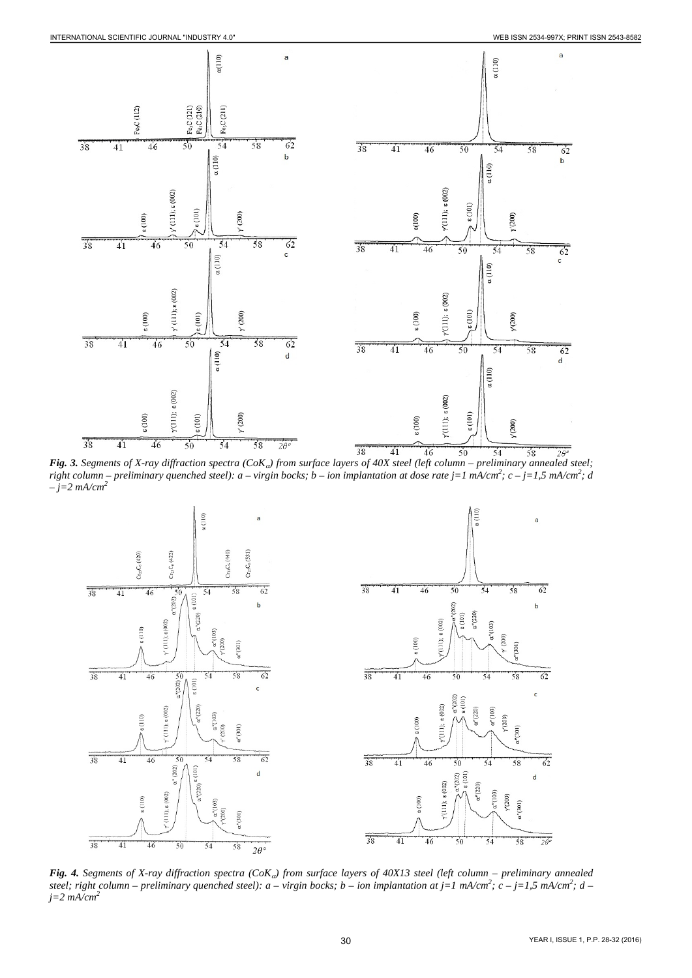

*Fig. 3. Segments of X-ray diffraction spectra (CoK*α*) from surface layers of 40X steel (left column – preliminary annealed steel;*  right column – preliminary quenched steel): a – virgin bocks; b – ion implantation at dose rate j=1 mA/cm<sup>2</sup>; c – j=1,5 mA/cm<sup>2</sup>; d *– j=2 mA/cm2*



*Fig. 4. Segments of X-ray diffraction spectra (CoK*α*) from surface layers of 40X13 steel (left column – preliminary annealed steel; right column – preliminary quenched steel): a – virgin bocks; b – ion implantation at j=1 mA/cm2 ; c – j=1,5 mA/cm2 ; d – j=2 mA/cm2*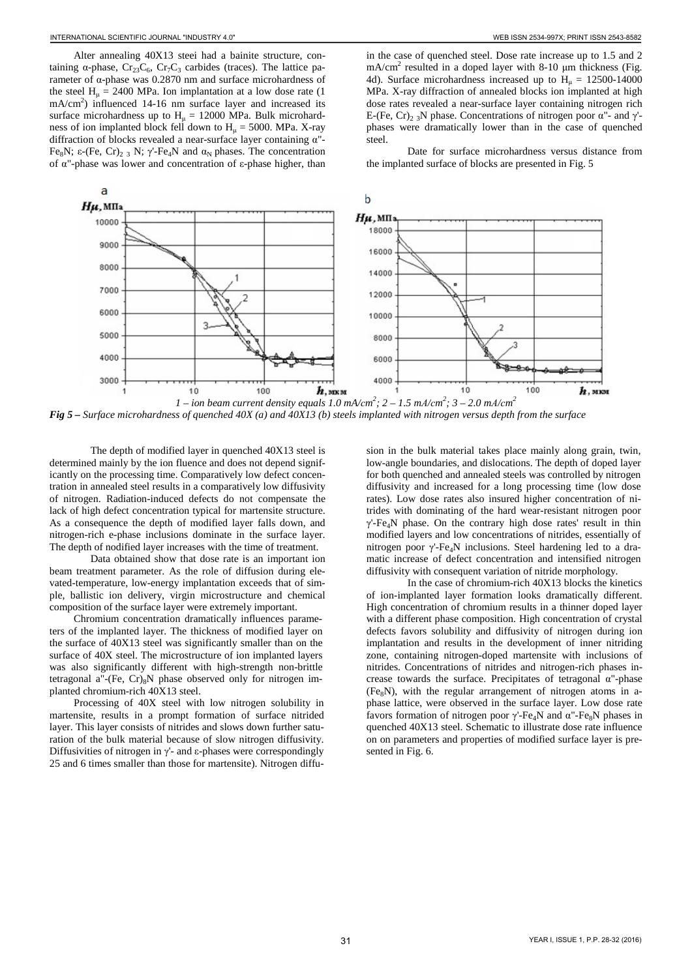Alter annealing 40X13 steei had a bainite structure, containing  $\alpha$ -phase, Cr<sub>23</sub>C<sub>6</sub>, Cr<sub>7</sub>C<sub>3</sub> carbides (traces). The lattice parameter of α-phase was 0.2870 nm and surface microhardness of the steel  $H<sub>u</sub> = 2400 MPa$ . Ion implantation at a low dose rate (1)  $mA/cm<sup>2</sup>$ ) influenced 14-16 nm surface layer and increased its surface microhardness up to  $H<sub>u</sub> = 12000$  MPa. Bulk microhardness of ion implanted block fell down to  $H<sub>u</sub> = 5000$ . MPa. X-ray diffraction of blocks revealed a near-surface layer containing α"- Fe<sub>8</sub>N; ε-(Fe, Cr)<sub>2</sub> 3 N; γ'-Fe<sub>4</sub>N and α<sub>N</sub> phases. The concentration of α"-phase was lower and concentration of ε-phase higher, than

in the case of quenched steel. Dose rate increase up to 1.5 and 2  $mA/cm<sup>2</sup>$  resulted in a doped layer with 8-10  $\mu$ m thickness (Fig. 4d). Surface microhardness increased up to  $H<sub>u</sub> = 12500-14000$ MPa. X-ray diffraction of annealed blocks ion implanted at high dose rates revealed a near-surface layer containing nitrogen rich E-(Fe, Cr)<sub>2</sub> 3N phase. Concentrations of nitrogen poor  $\alpha$ <sup>"</sup>- and  $\gamma$ <sup>'</sup>phases were dramatically lower than in the case of quenched steel.

Date for surface microhardness versus distance from the implanted surface of blocks are presented in Fig. 5



*Fig 5 – Surface microhardness of quenched 40X (a) and 40X13 (b) steels implanted with nitrogen versus depth from the surface*

The depth of modified layer in quenched 40X13 steel is determined mainly by the ion fluence and does not depend significantly on the processing time. Comparatively low defect concentration in annealed steel results in a comparatively low diffusivity of nitrogen. Radiation-induced defects do not compensate the lack of high defect concentration typical for martensite structure. As a consequence the depth of modified layer falls down, and nitrogen-rich e-phase inclusions dominate in the surface layer. The depth of nodified layer increases with the time of treatment.

Data obtained show that dose rate is an important ion beam treatment parameter. As the role of diffusion during elevated-temperature, low-energy implantation exceeds that of simple, ballistic ion delivery, virgin microstructure and chemical composition of the surface layer were extremely important.

Chromium concentration dramatically influences parameters of the implanted layer. The thickness of modified layer on the surface of 40X13 steel was significantly smaller than on the surface of 40X steel. The microstructure of ion implanted layers was also significantly different with high-strength non-brittle tetragonal a"-(Fe,  $Cr$ )<sub>8</sub>N phase observed only for nitrogen implanted chromium-rich 40X13 steel.

Processing of 40X steel with low nitrogen solubility in martensite, results in a prompt formation of surface nitrided layer. This layer consists of nitrides and slows down further saturation of the bulk material because of slow nitrogen diffusivity. Diffusivities of nitrogen in γ'- and ε-phases were correspondingly 25 and 6 times smaller than those for martensite). Nitrogen diffu-

sion in the bulk material takes place mainly along grain, twin, low-angle boundaries, and dislocations. The depth of doped layer for both quenched and annealed steels was controlled by nitrogen diffusivity and increased for a long processing time (low dose rates). Low dose rates also insured higher concentration of nitrides with dominating of the hard wear-resistant nitrogen poor  $\gamma'$ -Fe<sub>4</sub>N phase. On the contrary high dose rates' result in thin modified layers and low concentrations of nitrides, essentially of nitrogen poor γ'-Fe4N inclusions. Steel hardening led to a dramatic increase of defect concentration and intensified nitrogen diffusivity with consequent variation of nitride morphology.

In the case of chromium-rich 40X13 blocks the kinetics of ion-implanted layer formation looks dramatically different. High concentration of chromium results in a thinner doped layer with a different phase composition. High concentration of crystal defects favors solubility and diffusivity of nitrogen during ion implantation and results in the development of inner nitriding zone, containing nitrogen-doped martensite with inclusions of nitrides. Concentrations of nitrides and nitrogen-rich phases increase towards the surface. Precipitates of tetragonal α"-phase  $(Fe<sub>8</sub>N)$ , with the regular arrangement of nitrogen atoms in aphase lattice, were observed in the surface layer. Low dose rate favors formation of nitrogen poor  $\gamma$ -Fe<sub>4</sub>N and  $\alpha$ <sup>"</sup>-Fe<sub>8</sub>N phases in quenched 40X13 steel. Schematic to illustrate dose rate influence on on parameters and properties of modified surface layer is presented in Fig. 6.